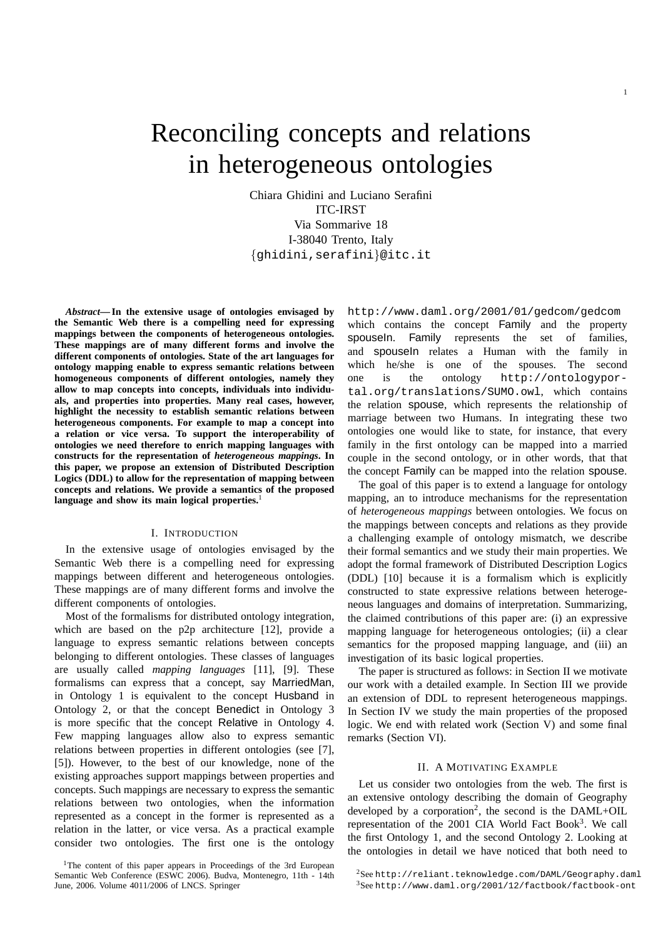# Reconciling concepts and relations in heterogeneous ontologies

Chiara Ghidini and Luciano Serafini ITC-IRST Via Sommarive 18 I-38040 Trento, Italy {ghidini,serafini}@itc.it

*Abstract***— In the extensive usage of ontologies envisaged by the Semantic Web there is a compelling need for expressing mappings between the components of heterogeneous ontologies. These mappings are of many different forms and involve the different components of ontologies. State of the art languages for ontology mapping enable to express semantic relations between homogeneous components of different ontologies, namely they allow to map concepts into concepts, individuals into individuals, and properties into properties. Many real cases, however, highlight the necessity to establish semantic relations between heterogeneous components. For example to map a concept into a relation or vice versa. To support the interoperability of ontologies we need therefore to enrich mapping languages with constructs for the representation of** *heterogeneous mappings***. In this paper, we propose an extension of Distributed Description Logics (DDL) to allow for the representation of mapping between concepts and relations. We provide a semantics of the proposed language and show its main logical properties.**<sup>1</sup>

#### I. INTRODUCTION

In the extensive usage of ontologies envisaged by the Semantic Web there is a compelling need for expressing mappings between different and heterogeneous ontologies. These mappings are of many different forms and involve the different components of ontologies.

Most of the formalisms for distributed ontology integration, which are based on the p2p architecture [12], provide a language to express semantic relations between concepts belonging to different ontologies. These classes of languages are usually called *mapping languages* [11], [9]. These formalisms can express that a concept, say MarriedMan, in Ontology 1 is equivalent to the concept Husband in Ontology 2, or that the concept Benedict in Ontology 3 is more specific that the concept Relative in Ontology 4. Few mapping languages allow also to express semantic relations between properties in different ontologies (see [7], [5]). However, to the best of our knowledge, none of the existing approaches support mappings between properties and concepts. Such mappings are necessary to express the semantic relations between two ontologies, when the information represented as a concept in the former is represented as a relation in the latter, or vice versa. As a practical example consider two ontologies. The first one is the ontology http://www.daml.org/2001/01/gedcom/gedcom which contains the concept Family and the property spouseIn. Family represents the set of families, and spouseIn relates a Human with the family in which he/she is one of the spouses. The second one is the ontology http://ontologyportal.org/translations/SUMO.owl, which contains the relation spouse, which represents the relationship of marriage between two Humans. In integrating these two ontologies one would like to state, for instance, that every family in the first ontology can be mapped into a married couple in the second ontology, or in other words, that that the concept Family can be mapped into the relation spouse.

1

The goal of this paper is to extend a language for ontology mapping, an to introduce mechanisms for the representation of *heterogeneous mappings* between ontologies. We focus on the mappings between concepts and relations as they provide a challenging example of ontology mismatch, we describe their formal semantics and we study their main properties. We adopt the formal framework of Distributed Description Logics (DDL) [10] because it is a formalism which is explicitly constructed to state expressive relations between heterogeneous languages and domains of interpretation. Summarizing, the claimed contributions of this paper are: (i) an expressive mapping language for heterogeneous ontologies; (ii) a clear semantics for the proposed mapping language, and (iii) an investigation of its basic logical properties.

The paper is structured as follows: in Section II we motivate our work with a detailed example. In Section III we provide an extension of DDL to represent heterogeneous mappings. In Section IV we study the main properties of the proposed logic. We end with related work (Section V) and some final remarks (Section VI).

#### II. A MOTIVATING EXAMPLE

Let us consider two ontologies from the web. The first is an extensive ontology describing the domain of Geography developed by a corporation<sup>2</sup>, the second is the DAML+OIL representation of the 2001 CIA World Fact Book<sup>3</sup>. We call the first Ontology 1, and the second Ontology 2. Looking at the ontologies in detail we have noticed that both need to

<sup>&</sup>lt;sup>1</sup>The content of this paper appears in Proceedings of the 3rd European Semantic Web Conference (ESWC 2006). Budva, Montenegro, 11th - 14th June, 2006. Volume 4011/2006 of LNCS. Springer

<sup>2</sup>See http://reliant.teknowledge.com/DAML/Geography.daml <sup>3</sup>See http://www.daml.org/2001/12/factbook/factbook-ont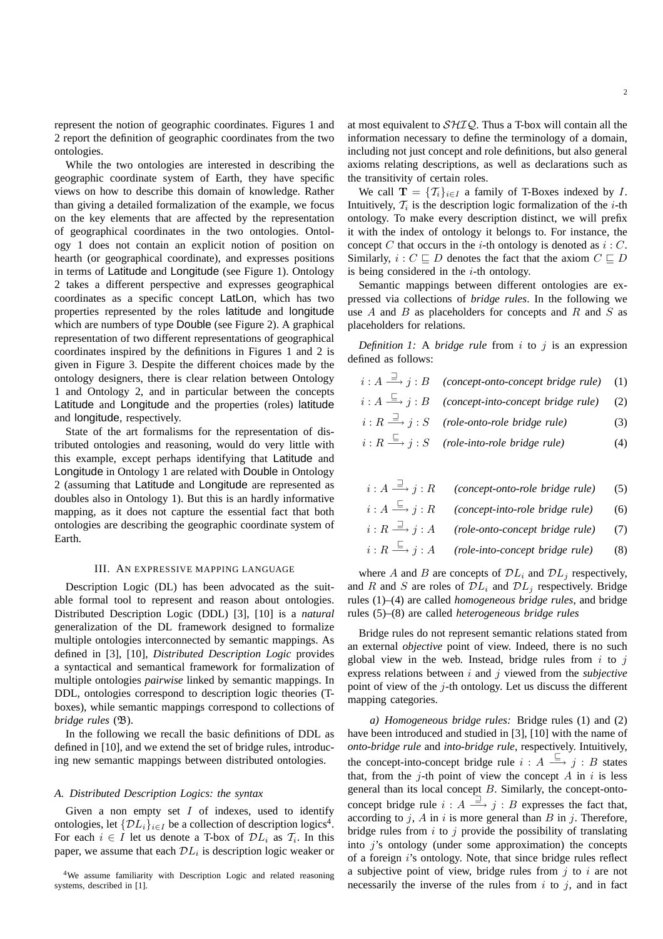represent the notion of geographic coordinates. Figures 1 and 2 report the definition of geographic coordinates from the two ontologies.

While the two ontologies are interested in describing the geographic coordinate system of Earth, they have specific views on how to describe this domain of knowledge. Rather than giving a detailed formalization of the example, we focus on the key elements that are affected by the representation of geographical coordinates in the two ontologies. Ontology 1 does not contain an explicit notion of position on hearth (or geographical coordinate), and expresses positions in terms of Latitude and Longitude (see Figure 1). Ontology 2 takes a different perspective and expresses geographical coordinates as a specific concept LatLon, which has two properties represented by the roles latitude and longitude which are numbers of type Double (see Figure 2). A graphical representation of two different representations of geographical coordinates inspired by the definitions in Figures 1 and 2 is given in Figure 3. Despite the different choices made by the ontology designers, there is clear relation between Ontology 1 and Ontology 2, and in particular between the concepts Latitude and Longitude and the properties (roles) latitude and longitude, respectively.

State of the art formalisms for the representation of distributed ontologies and reasoning, would do very little with this example, except perhaps identifying that Latitude and Longitude in Ontology 1 are related with Double in Ontology 2 (assuming that Latitude and Longitude are represented as doubles also in Ontology 1). But this is an hardly informative mapping, as it does not capture the essential fact that both ontologies are describing the geographic coordinate system of Earth.

#### III. AN EXPRESSIVE MAPPING LANGUAGE

Description Logic (DL) has been advocated as the suitable formal tool to represent and reason about ontologies. Distributed Description Logic (DDL) [3], [10] is a *natural* generalization of the DL framework designed to formalize multiple ontologies interconnected by semantic mappings. As defined in [3], [10], *Distributed Description Logic* provides a syntactical and semantical framework for formalization of multiple ontologies *pairwise* linked by semantic mappings. In DDL, ontologies correspond to description logic theories (Tboxes), while semantic mappings correspond to collections of *bridge rules* (B).

In the following we recall the basic definitions of DDL as defined in [10], and we extend the set of bridge rules, introducing new semantic mappings between distributed ontologies.

#### *A. Distributed Description Logics: the syntax*

Given a non empty set  $I$  of indexes, used to identify ontologies, let  $\{DL_i\}_{i\in I}$  be a collection of description logics<sup>4</sup>. For each  $i \in I$  let us denote a T-box of  $\mathcal{D}L_i$  as  $\mathcal{T}_i$ . In this paper, we assume that each  $\mathcal{D}L_i$  is description logic weaker or

<sup>4</sup>We assume familiarity with Description Logic and related reasoning systems, described in [1].

at most equivalent to  $\mathcal{SHIQ}$ . Thus a T-box will contain all the information necessary to define the terminology of a domain, including not just concept and role definitions, but also general axioms relating descriptions, as well as declarations such as the transitivity of certain roles.

We call  $\mathbf{T} = \{T_i\}_{i \in I}$  a family of T-Boxes indexed by I. Intuitively,  $\mathcal{T}_i$  is the description logic formalization of the *i*-th ontology. To make every description distinct, we will prefix it with the index of ontology it belongs to. For instance, the concept C that occurs in the *i*-th ontology is denoted as  $i : C$ . Similarly,  $i : C \sqsubseteq D$  denotes the fact that the axiom  $C \sqsubseteq D$ is being considered in the  $i$ -th ontology.

Semantic mappings between different ontologies are expressed via collections of *bridge rules*. In the following we use  $A$  and  $B$  as placeholders for concepts and  $R$  and  $S$  as placeholders for relations.

*Definition 1:* A *bridge rule* from i to j is an expression defined as follows:

| $i:A \stackrel{\square}{\longrightarrow} j:B$ (concept-onto-concept bridge rule) (1)     |  |
|------------------------------------------------------------------------------------------|--|
| $i:A \stackrel{\sqsubseteq}{\longrightarrow} j:B$ (concept-into-concept bridge rule) (2) |  |

- $i: R \stackrel{\supset}{=}$ −→ j : S *(role-onto-role bridge rule)* (3)
- $i:R \overset{\sqsubseteq}{=}$ −→ j : S *(role-into-role bridge rule)* (4)
- $i:A \stackrel{\sqsupset}{=}$ −→ j : R *(concept-onto-role bridge rule)* (5)
- $i:A \overset{\sqsubseteq}{\equiv}$ −→ j : R *(concept-into-role bridge rule)* (6)

$$
i: R \stackrel{\sqsupset}{\longrightarrow} j: A
$$
 (role-onto-concept bridge rule) (7)

 $i: R \stackrel{\sqsubseteq}{\longrightarrow} j: A$  (role-into-concept bridge rule) (8)

where A and B are concepts of  $\mathcal{D}L_i$  and  $\mathcal{D}L_j$  respectively, and R and S are roles of  $\mathcal{D}L_i$  and  $\mathcal{D}L_j$  respectively. Bridge rules (1)–(4) are called *homogeneous bridge rules*, and bridge rules (5)–(8) are called *heterogeneous bridge rules*

Bridge rules do not represent semantic relations stated from an external *objective* point of view. Indeed, there is no such global view in the web. Instead, bridge rules from  $i$  to  $j$ express relations between i and j viewed from the *subjective* point of view of the  $j$ -th ontology. Let us discuss the different mapping categories.

*a) Homogeneous bridge rules:* Bridge rules (1) and (2) have been introduced and studied in [3], [10] with the name of *onto-bridge rule* and *into-bridge rule*, respectively. Intuitively, the concept-into-concept bridge rule  $i : A \stackrel{\sqsubseteq}{\longrightarrow} j : B$  states that, from the  $i$ -th point of view the concept A in i is less general than its local concept B. Similarly, the concept-ontoconcept bridge rule  $i : A \stackrel{\supset}{\longrightarrow} j : B$  expresses the fact that, according to  $j$ ,  $A$  in  $i$  is more general than  $B$  in  $j$ . Therefore, bridge rules from  $i$  to  $j$  provide the possibility of translating into  $i$ 's ontology (under some approximation) the concepts of a foreign i's ontology. Note, that since bridge rules reflect a subjective point of view, bridge rules from  $j$  to  $i$  are not necessarily the inverse of the rules from  $i$  to  $j$ , and in fact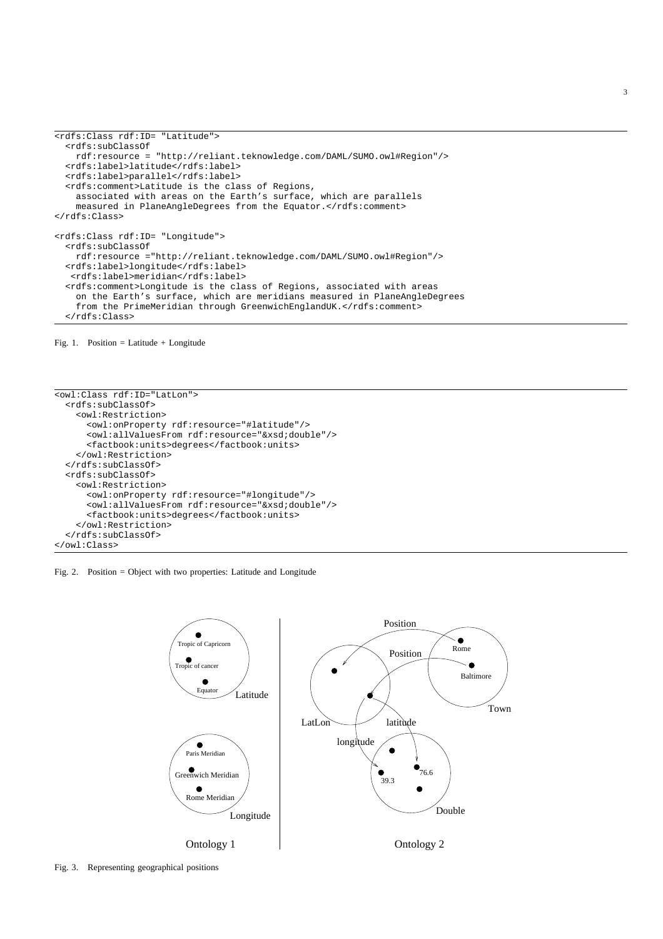```
<rdfs:Class rdf:ID= "Latitude">
  <rdfs:subClassOf
   rdf:resource = "http://reliant.teknowledge.com/DAML/SUMO.owl#Region"/>
 <rdfs:label>latitude</rdfs:label>
 <rdfs:label>parallel</rdfs:label>
  <rdfs:comment>Latitude is the class of Regions,
   associated with areas on the Earth's surface, which are parallels
   measured in PlaneAngleDegrees from the Equator.</rdfs:comment>
</rdfs:Class>
<rdfs:Class rdf:ID= "Longitude">
  <rdfs:subClassOf
   rdf:resource ="http://reliant.teknowledge.com/DAML/SUMO.owl#Region"/>
  <rdfs:label>longitude</rdfs:label>
  <rdfs:label>meridian</rdfs:label>
  <rdfs:comment>Longitude is the class of Regions, associated with areas
   on the Earth's surface, which are meridians measured in PlaneAngleDegrees
   from the PrimeMeridian through GreenwichEnglandUK.</rdfs:comment>
 </rdfs:Class>
```
Fig. 1. Position = Latitude + Longitude

```
<owl:Class rdf:ID="LatLon">
 <rdfs:subClassOf>
   <owl:Restriction>
     <owl:onProperty rdf:resource="#latitude"/>
     <owl:allValuesFrom rdf:resource="&xsd;double"/>
     <factbook:units>degrees</factbook:units>
   </owl:Restriction>
  </rdfs:subClassOf>
 <rdfs:subClassOf>
   <owl:Restriction>
     <owl:onProperty rdf:resource="#longitude"/>
     <owl:allValuesFrom rdf:resource="&xsd;double"/>
     <factbook:units>degrees</factbook:units>
    </owl:Restriction>
  </rdfs:subClassOf>
</owl:Class>
```




3

Fig. 3. Representing geographical positions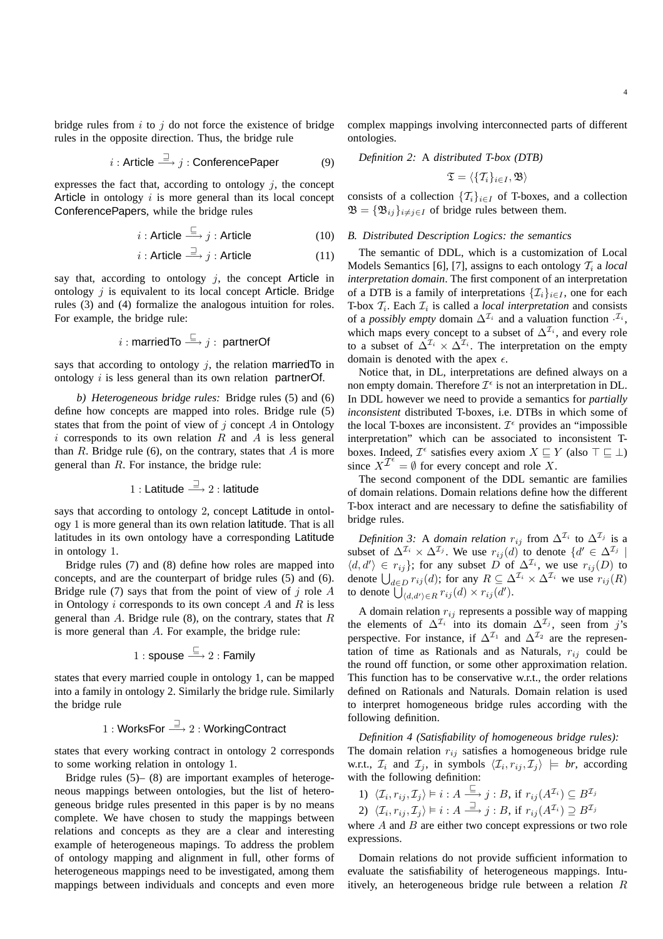bridge rules from  $i$  to  $j$  do not force the existence of bridge rules in the opposite direction. Thus, the bridge rule

$$
i: \text{Article} \stackrel{\sqsupset}{\longrightarrow} j: \text{ConferencePaper} \qquad (9)
$$

expresses the fact that, according to ontology  $i$ , the concept Article in ontology  $i$  is more general than its local concept ConferencePapers, while the bridge rules

$$
i: \text{Article} \stackrel{\sqsubseteq}{\longrightarrow} j: \text{Article} \tag{10}
$$

$$
i: \text{Article} \stackrel{\sqsupset}{\longrightarrow} j: \text{Article} \tag{11}
$$

say that, according to ontology  $j$ , the concept Article in ontology  $i$  is equivalent to its local concept Article. Bridge rules (3) and (4) formalize the analogous intuition for roles. For example, the bridge rule:

$$
i:\mathsf{marriedTo} \stackrel{\sqsubseteq}\longrightarrow j:\; \mathsf{partnerOf}
$$

says that according to ontology  $j$ , the relation married To in ontology i is less general than its own relation partnerOf.

*b) Heterogeneous bridge rules:* Bridge rules (5) and (6) define how concepts are mapped into roles. Bridge rule (5) states that from the point of view of  $j$  concept  $A$  in Ontology i corresponds to its own relation  $R$  and  $A$  is less general than  $R$ . Bridge rule (6), on the contrary, states that  $A$  is more general than R. For instance, the bridge rule:

$$
1:\text{Latitude}\overset{\sqsupset}{\longrightarrow}2:\text{latitude}
$$

says that according to ontology 2, concept Latitude in ontology 1 is more general than its own relation latitude. That is all latitudes in its own ontology have a corresponding Latitude in ontology 1.

Bridge rules (7) and (8) define how roles are mapped into concepts, and are the counterpart of bridge rules (5) and (6). Bridge rule (7) says that from the point of view of  $j$  role  $A$ in Ontology  $i$  corresponds to its own concept  $A$  and  $R$  is less general than  $A$ . Bridge rule (8), on the contrary, states that  $R$ is more general than A. For example, the bridge rule:

$$
1: \mathsf{spouse} \stackrel{\sqsubseteq}{\longrightarrow} 2: \mathsf{Family}
$$

states that every married couple in ontology 1, can be mapped into a family in ontology 2. Similarly the bridge rule. Similarly the bridge rule

# 1 : WorksFor  $\stackrel{\supset}{\longrightarrow}$  2 : WorkingContract

states that every working contract in ontology 2 corresponds to some working relation in ontology 1.

Bridge rules (5)– (8) are important examples of heterogeneous mappings between ontologies, but the list of heterogeneous bridge rules presented in this paper is by no means complete. We have chosen to study the mappings between relations and concepts as they are a clear and interesting example of heterogeneous mapings. To address the problem of ontology mapping and alignment in full, other forms of heterogeneous mappings need to be investigated, among them mappings between individuals and concepts and even more

complex mappings involving interconnected parts of different ontologies.

*Definition 2:* A *distributed T-box (DTB)*

$$
\mathfrak{T}=\langle\{\mathcal{T}_i\}_{i\in I},\mathfrak{B}\rangle
$$

consists of a collection  $\{T_i\}_{i\in I}$  of T-boxes, and a collection  $\mathfrak{B} = {\mathfrak{B}_{ij}}_{i \neq j \in I}$  of bridge rules between them.

#### *B. Distributed Description Logics: the semantics*

The semantic of DDL, which is a customization of Local Models Semantics [6], [7], assigns to each ontology  $\mathcal{T}_i$  a *local interpretation domain*. The first component of an interpretation of a DTB is a family of interpretations  $\{\mathcal{I}_i\}_{i\in I}$ , one for each T-box  $\mathcal{T}_i$ . Each  $\mathcal{I}_i$  is called a *local interpretation* and consists of a *possibly empty* domain  $\Delta^{\mathcal{I}_i}$  and a valuation function  $\cdot^{\mathcal{I}_i}$ , which maps every concept to a subset of  $\Delta^{\mathcal{I}_i}$ , and every role to a subset of  $\Delta^{\mathcal{I}_i} \times \Delta^{\mathcal{I}_i}$ . The interpretation on the empty domain is denoted with the apex  $\epsilon$ .

Notice that, in DL, interpretations are defined always on a non empty domain. Therefore  $\mathcal{I}^{\epsilon}$  is not an interpretation in DL. In DDL however we need to provide a semantics for *partially inconsistent* distributed T-boxes, i.e. DTBs in which some of the local T-boxes are inconsistent.  $\mathcal{I}^{\epsilon}$  provides an "impossible interpretation" which can be associated to inconsistent Tboxes. Indeed,  $\mathcal{I}^{\epsilon}$  satisfies every axiom  $X \sqsubseteq Y$  (also  $\top \sqsubseteq \bot$ ) since  $X^{\mathcal{I}^{\epsilon}} = \emptyset$  for every concept and role X.

The second component of the DDL semantic are families of domain relations. Domain relations define how the different T-box interact and are necessary to define the satisfiability of bridge rules.

*Definition 3:* A *domain relation*  $r_{ij}$  from  $\Delta^{\mathcal{I}_i}$  to  $\Delta^{\mathcal{I}_j}$  is a subset of  $\Delta^{\mathcal{I}_i} \times \Delta^{\mathcal{I}_j}$ . We use  $r_{ij}(d)$  to denote  $\{d' \in \Delta^{\mathcal{I}_j} \mid$  $\langle d, d' \rangle \in r_{ij}$ ; for any subset D of  $\Delta^{\mathcal{I}_i}$ , we use  $r_{ij}(D)$  to denote  $\bigcup_{d \in D} r_{ij}(d)$ ; for any  $R \subseteq \Delta^{\mathcal{I}_i} \times \Delta^{\mathcal{I}_i}$  we use  $r_{ij}(R)$ to denote  $\overline{\bigcup}_{\langle d,d'\rangle \in R} r_{ij}(d) \times r_{ij}(d')$ .

A domain relation  $r_{ij}$  represents a possible way of mapping the elements of  $\Delta^{\mathcal{I}_i}$  into its domain  $\Delta^{\mathcal{I}_j}$ , seen from j's perspective. For instance, if  $\Delta^{\mathcal{I}_1}$  and  $\Delta^{\mathcal{I}_2}$  are the representation of time as Rationals and as Naturals,  $r_{ij}$  could be the round off function, or some other approximation relation. This function has to be conservative w.r.t., the order relations defined on Rationals and Naturals. Domain relation is used to interpret homogeneous bridge rules according with the following definition.

*Definition 4 (Satisfiability of homogeneous bridge rules):* The domain relation  $r_{ij}$  satisfies a homogeneous bridge rule w.r.t.,  $\mathcal{I}_i$  and  $\mathcal{I}_j$ , in symbols  $\langle \mathcal{I}_i, r_{ij}, \mathcal{I}_j \rangle \models br$ , according with the following definition:

1) 
$$
\langle \mathcal{I}_i, r_{ij}, \mathcal{I}_j \rangle \models i : A \xrightarrow{\sqsubseteq} j : B
$$
, if  $r_{ij}(A^{\mathcal{I}_i}) \subseteq B^{\mathcal{I}_j}$ 

2)  $\langle \mathcal{I}_i, r_{ij}, \mathcal{I}_j \rangle \models i : A \stackrel{\sqsupset}{\Longrightarrow} j : B$ , if  $r_{ij} (A^{\mathcal{I}_i}) \supseteq B^{\mathcal{I}_j}$ where  $A$  and  $B$  are either two concept expressions or two role

expressions.

Domain relations do not provide sufficient information to evaluate the satisfiability of heterogeneous mappings. Intuitively, an heterogeneous bridge rule between a relation R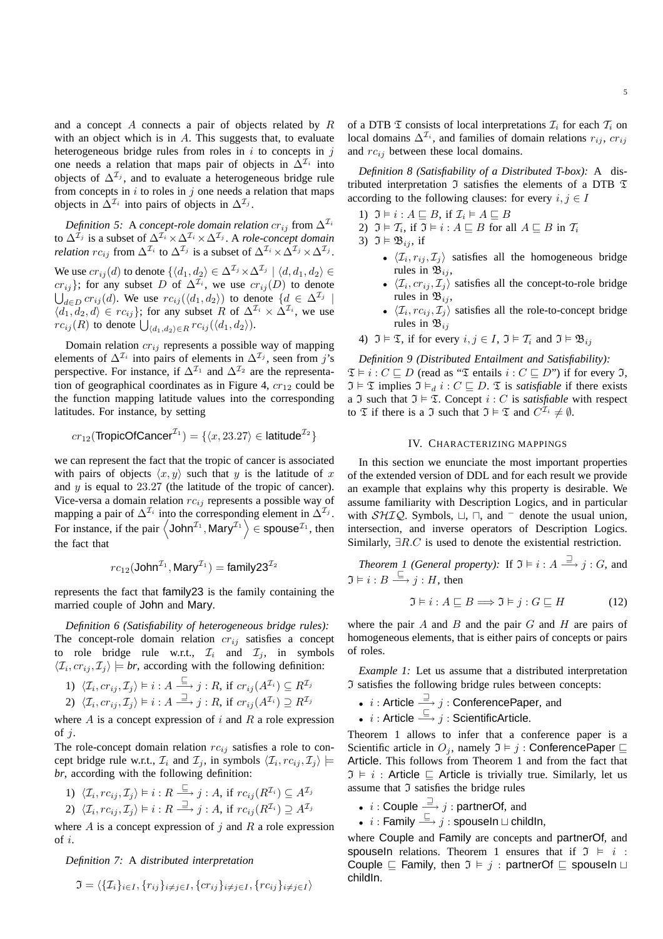and a concept  $A$  connects a pair of objects related by  $R$ with an object which is in  $A$ . This suggests that, to evaluate heterogeneous bridge rules from roles in  $i$  to concepts in  $j$ one needs a relation that maps pair of objects in  $\Delta^{\mathcal{I}_i}$  into objects of  $\Delta^{\mathcal{I}_j}$ , and to evaluate a heterogeneous bridge rule from concepts in  $i$  to roles in  $j$  one needs a relation that maps objects in  $\Delta^{\mathcal{I}_i}$  into pairs of objects in  $\Delta^{\mathcal{I}_j}$ .

*Definition 5:* A *concept-role domain relation*  $cr_{ij}$  from  $\Delta^{I_i}$ to  $\Delta^{\mathcal{I}_j}$  is a subset of  $\Delta^{\mathcal{I}_i} \times \Delta^{\mathcal{I}_i} \times \Delta^{\mathcal{I}_j}$ . A *role-concept domain relation*  $rc_{ij}$  from  $\Delta^{\mathcal{I}_i}$  to  $\Delta^{\mathcal{I}_j}$  is a subset of  $\Delta^{\mathcal{I}_i} \times \Delta^{\mathcal{I}_j} \times \Delta^{\mathcal{I}_j}$ .

We use  $cr_{ij}(d)$  to denote  $\{\langle d_1, d_2\rangle \in \Delta^{{\mathcal I}_j}\times \Delta^{{\mathcal I}_j}\mid \langle d, d_1, d_2\rangle \in$  $cr_{ij}$ }; for any subset D of  $\Delta^{\mathcal{I}_i}$ , we use  $cr_{ij}(D)$  to denote  $\bigcup_{d\in D} cr_{ij}(d)$ . We use  $rc_{ij}(\langle d_1, d_2 \rangle)$  to denote  $\{d \in \Delta^{\mathcal{I}_j} \mid$  $\langle d_1, d_2, d \rangle \in rc_{ij}\};$  for any subset R of  $\Delta^{\mathcal{I}_i} \times \Delta^{\mathcal{I}_i}$ , we use  $rc_{ij}(R)$  to denote  $\bigcup_{\langle d_1,d_2\rangle \in R} rc_{ij}(\langle d_1,d_2\rangle).$ 

Domain relation  $cr_{ij}$  represents a possible way of mapping elements of  $\Delta^{\mathcal{I}_i}$  into pairs of elements in  $\Delta^{\mathcal{I}_j}$ , seen from j's perspective. For instance, if  $\Delta^{\mathcal{I}_1}$  and  $\Delta^{\mathcal{I}_2}$  are the representation of geographical coordinates as in Figure 4,  $cr_{12}$  could be the function mapping latitude values into the corresponding latitudes. For instance, by setting

$$
cr_{12}(\text{TropicOf Cancer}^{\mathcal{I}_1}) = \{ \langle x, 23.27 \rangle \in \text{Iatitude}^{\mathcal{I}_2} \}
$$

we can represent the fact that the tropic of cancer is associated with pairs of objects  $\langle x, y \rangle$  such that y is the latitude of x and y is equal to 23.27 (the latitude of the tropic of cancer). Vice-versa a domain relation  $rc_{ij}$  represents a possible way of mapping a pair of  $\Delta^{\mathcal{I}_i}$  into the corresponding element in  $\Delta^{\mathcal{I}_j}$ . For instance, if the pair  $\langle$  John<sup> $\mathcal{I}_1$ </sup>, Mary $\mathcal{I}_1$   $\rangle \in$  spouse $\mathcal{I}_1$ , then the fact that

$$
\mathit{rc}_{12}(\text{John}^{\mathcal{I}_1}, \text{Mary}^{\mathcal{I}_1}) = \text{family23}^{\mathcal{I}_2}
$$

represents the fact that family23 is the family containing the married couple of John and Mary.

*Definition 6 (Satisfiability of heterogeneous bridge rules):* The concept-role domain relation  $cr_{ij}$  satisfies a concept to role bridge rule w.r.t.,  $\mathcal{I}_i$  and  $\mathcal{I}_j$ , in symbols  $\langle \mathcal{I}_i, cr_{ij}, \mathcal{I}_j \rangle \models br$ , according with the following definition:

1)  $\langle \mathcal{I}_i, cr_{ij}, \mathcal{I}_j \rangle \models i : A \stackrel{\sqsubseteq}{\Longrightarrow} j : R$ , if  $cr_{ij}(A^{\mathcal{I}_i}) \subseteq R^{\mathcal{I}_j}$ <br>  $\Box$   $\Box$   $\Box$   $\Box$   $\Box$ 

$$
\text{2) }\ \langle \mathcal{I}_i, cr_{ij}, \mathcal{I}_j\rangle \vDash i : A \stackrel{\equiv}{\longrightarrow} j : R , \ \text{if} \ \operatorname{cr}_{ij}(A^{\mathcal{I}_i}) \supseteq R^{\mathcal{I}_j}
$$

where  $A$  is a concept expression of i and  $R$  a role expression of  $j$ .

The role-concept domain relation  $rc_{ij}$  satisfies a role to concept bridge rule w.r.t.,  $\mathcal{I}_i$  and  $\mathcal{I}_j$ , in symbols  $\langle \mathcal{I}_i, rc_{ij}, \mathcal{I}_j \rangle \models$ *br*, according with the following definition:

1) 
$$
\langle \mathcal{I}_i, rc_{ij}, \mathcal{I}_j \rangle \models i : R \xrightarrow{\sqsubseteq} j : A
$$
, if  $rc_{ij}(R^{\mathcal{I}_i}) \subseteq A^{\mathcal{I}_j}$   
2)  $\langle \mathcal{I}_i, rc_{ij}, \mathcal{I}_j \rangle \models i : R \xrightarrow{\sqsupseteq} j : A$ , if  $rc_{ij}(R^{\mathcal{I}_i}) \supseteq A^{\mathcal{I}_j}$ 

where  $A$  is a concept expression of  $j$  and  $R$  a role expression of i.

*Definition 7:* A *distributed interpretation*

$$
\mathfrak{I} = \langle \{\mathcal{I}_i\}_{i \in I}, \{r_{ij}\}_{i \neq j \in I}, \{cr_{ij}\}_{i \neq j \in I}, \{rc_{ij}\}_{i \neq j \in I} \rangle
$$

of a DTB  $\mathfrak T$  consists of local interpretations  $\mathcal I_i$  for each  $\mathcal I_i$  on local domains  $\Delta^{\mathcal{I}_i}$ , and families of domain relations  $r_{ij}$ ,  $cr_{ij}$ and  $rc_{ij}$  between these local domains.

*Definition 8 (Satisfiability of a Distributed T-box):* A distributed interpretation  $\Im$  satisfies the elements of a DTB  $\Im$ according to the following clauses: for every  $i, j \in I$ 

- 1)  $\mathfrak{I} \models i : A \sqsubseteq B$ , if  $\mathcal{I}_i \models A \sqsubseteq B$
- 2)  $\mathfrak{I} \models \mathcal{T}_i$ , if  $\mathfrak{I} \models i : A \sqsubseteq B$  for all  $A \sqsubseteq B$  in  $\mathcal{T}_i$

3) 
$$
\mathfrak{I} \models \mathfrak{B}_{ij}
$$
, if

- $\langle \mathcal{I}_i, r_{ij}, \mathcal{I}_j \rangle$  satisfies all the homogeneous bridge rules in  $\mathfrak{B}_{ij}$ ,
- $\langle \mathcal{I}_i, cr_{ij}, \mathcal{I}_j \rangle$  satisfies all the concept-to-role bridge rules in  $\mathfrak{B}_{ij}$ ,
- $\langle \mathcal{I}_i, rc_{ij}, \mathcal{I}_j \rangle$  satisfies all the role-to-concept bridge rules in  $\mathfrak{B}_{ii}$
- 4)  $\mathfrak{I} \models \mathfrak{T}$ , if for every  $i, j \in I$ ,  $\mathfrak{I} \models \mathcal{T}_i$  and  $\mathfrak{I} \models \mathfrak{B}_{ij}$

*Definition 9 (Distributed Entailment and Satisfiability):*

 $\mathfrak{T} \models i : C \sqsubseteq D$  (read as " $\mathfrak{T}$  entails  $i : C \sqsubseteq D$ ") if for every  $\mathfrak{I}$ ,  $\mathfrak{I} \models \mathfrak{T}$  implies  $\mathfrak{I} \models_d i : C \sqsubseteq D$ .  $\mathfrak{T}$  is *satisfiable* if there exists a  $\Im$  such that  $\Im \models \Im$ . Concept  $i : C$  is *satisfiable* with respect to  $\mathfrak T$  if there is a  $\mathfrak I$  such that  $\mathfrak I \vDash \mathfrak T$  and  $C^{\mathcal{I}_i} \neq \emptyset$ .

### IV. CHARACTERIZING MAPPINGS

In this section we enunciate the most important properties of the extended version of DDL and for each result we provide an example that explains why this property is desirable. We assume familiarity with Description Logics, and in particular with  $\mathcal{SHIQ}$ . Symbols,  $\sqcup$ ,  $\sqcap$ , and  $\sqsubset$  denote the usual union, intersection, and inverse operators of Description Logics. Similarly, ∃R.C is used to denote the existential restriction.

*Theorem 1 (General property):* If  $\mathfrak{I} \models i : A \stackrel{\sqsupset}{\longrightarrow} j : G$ , and  $\mathfrak{I} \models i : B \stackrel{\sqsubseteq}{\longrightarrow} j : H$ , then

$$
\mathfrak{I} \models i : A \sqsubseteq B \Longrightarrow \mathfrak{I} \models j : G \sqsubseteq H \tag{12}
$$

where the pair  $A$  and  $B$  and the pair  $G$  and  $H$  are pairs of homogeneous elements, that is either pairs of concepts or pairs of roles.

*Example 1:* Let us assume that a distributed interpretation I satisfies the following bridge rules between concepts:

- $i$ : Article  $\stackrel{\sqsupset}{\longrightarrow} j$ : ConferencePaper, and
- $i$ : Article  $\xrightarrow{\sqsubseteq} j$ : ScientificArticle.

Theorem 1 allows to infer that a conference paper is a Scientific article in  $O_i$ , namely  $\mathfrak{I} \models j$ : ConferencePaper ⊑ Article. This follows from Theorem 1 and from the fact that  $\mathfrak{I} \models i$ : Article  $\sqsubseteq$  Article is trivially true. Similarly, let us assume that  $\mathfrak I$  satisfies the bridge rules

- $i:$  Couple  $\stackrel{\supset}{\longrightarrow} j:$  partnerOf, and
- $\begin{array}{ll} \bullet & i : \mathsf{Family} \stackrel{\sqsubseteq}\longrightarrow j : \mathsf{spouseln} \sqcup \mathsf{childIn}, \end{array}$

where Couple and Family are concepts and partnerOf, and spouseIn relations. Theorem 1 ensures that if  $\mathfrak{I} \models i$ : Couple  $\sqsubseteq$  Family, then  $\mathfrak{I} \models j :$  partnerOf  $\sqsubseteq$  spouseIn  $\sqcup$ childIn.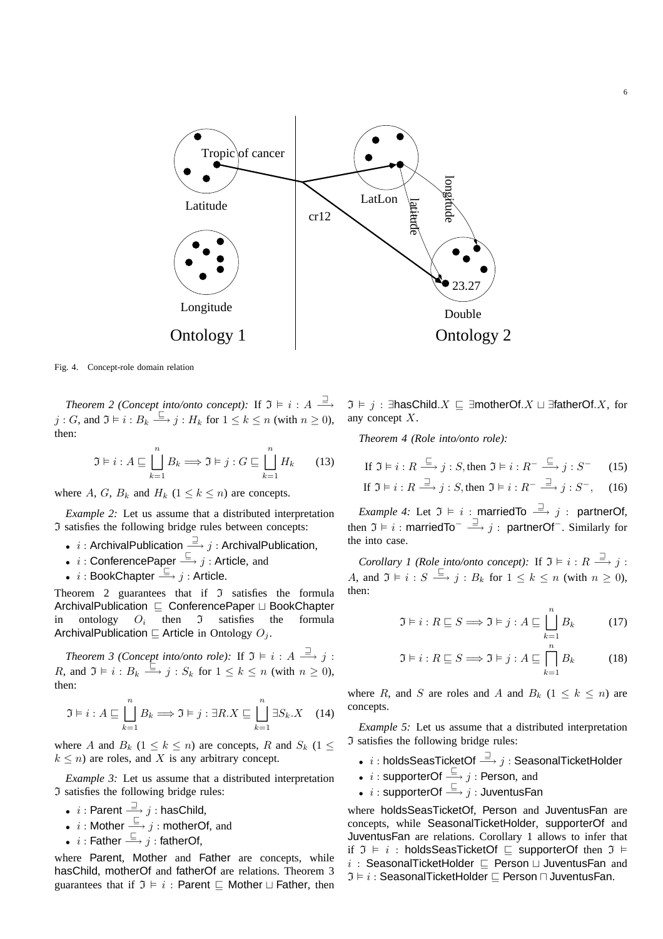

Fig. 4. Concept-role domain relation

*Theorem 2 (Concept into/onto concept):* If  $\mathfrak{I} \models i : A \stackrel{\sqsupset}{\longrightarrow}$  $j: G$ , and  $\mathfrak{I} \models i: B_k \stackrel{\sqsubseteq}{\longrightarrow} j: H_k$  for  $1 \leq k \leq n$  (with  $n \geq 0$ ), then:

$$
\mathfrak{I} \models i : A \sqsubseteq \bigsqcup_{k=1}^{n} B_k \Longrightarrow \mathfrak{I} \models j : G \sqsubseteq \bigsqcup_{k=1}^{n} H_k \qquad (13)
$$

where A, G,  $B_k$  and  $H_k$  ( $1 \leq k \leq n$ ) are concepts.

*Example 2:* Let us assume that a distributed interpretation I satisfies the following bridge rules between concepts:

- $i$ : ArchivalPublication  $\stackrel{\supset}{\longrightarrow} j$ : ArchivalPublication,
- $i:$  ConferencePaper  $\xrightarrow{\sqsubseteq} j:$  Article, and
- $i:$  BookChapter  $\stackrel{\sqsubseteq}{\longrightarrow} j:$  Article.

Theorem 2 guarantees that if  $\mathfrak I$  satisfies the formula ArchivalPublication ⊑ ConferencePaper ⊔ BookChapter in ontology  $O_i$ then  $\mathfrak I$  satisfies the formula ArchivalPublication  $\sqsubseteq$  Article in Ontology  $O_j$ .

Theorem 3 (Concept into/onto role): If  $\mathfrak{I} \models i : A \stackrel{\sqsupset}{\longrightarrow} j$ : R, and  $\mathfrak{I} \models i : B_k \stackrel{\sqsubseteq}{\longrightarrow} j : S_k$  for  $1 \leq k \leq n$  (with  $n \geq 0$ ), then:

$$
\mathfrak{I} \models i : A \sqsubseteq \bigsqcup_{k=1}^{n} B_k \Longrightarrow \mathfrak{I} \models j : \exists R.X \sqsubseteq \bigsqcup_{k=1}^{n} \exists S_k.X \quad (14)
$$

where A and  $B_k$  ( $1 \le k \le n$ ) are concepts, R and  $S_k$  ( $1 \le k \le n$ )  $k \leq n$ ) are roles, and X is any arbitrary concept.

*Example 3:* Let us assume that a distributed interpretation I satisfies the following bridge rules:

- $i:$  Parent  $\stackrel{\sqsupset}{\longrightarrow} j:$  hasChild,
- $i$ : Mother  $\stackrel{\sqsubseteq}{\longrightarrow} j$ : motherOf, and
- $i$  : Father  $\stackrel{\sqsubseteq}{\longrightarrow} j$  : fatherOf,

where Parent, Mother and Father are concepts, while hasChild, motherOf and fatherOf are relations. Theorem 3 guarantees that if  $\mathfrak{I} \models i :$  Parent  $\sqsubseteq$  Mother  $\sqcup$  Father, then

 $\mathfrak{I} \models j$  : ∃hasChild. $X \sqsubseteq \exists$ motherOf. $X \sqcup \exists$ fatherOf. $X$ , for any concept X.

6

*Theorem 4 (Role into/onto role):*

If 
$$
\mathfrak{I} \models i : R \xrightarrow{\sqsubseteq} j : S
$$
, then  $\mathfrak{I} \models i : R^- \xrightarrow{\sqsubseteq} j : S^-$  (15)

If 
$$
\mathfrak{I} \models i : R \xrightarrow{\sqsupseteq} j : S
$$
, then  $\mathfrak{I} \models i : R^- \xrightarrow{\sqsupseteq} j : S^-$ , (16)

*Example 4:* Let  $\mathfrak{I} \models i$  : marriedTo  $\stackrel{\supset}{\longrightarrow} j$  : partnerOf, then  $\mathfrak{I}\vDash i:$  marriedTo $^-\overset{\supset}{\longrightarrow} j:$  partnerOf $^-$ . Similarly for the into case.

*Corollary 1 (Role into/onto concept):* If  $\mathfrak{I} \models i : R \stackrel{\supset}{\longrightarrow} j$ : A, and  $\mathfrak{I} \models i : S \stackrel{\sqsubseteq}{\longrightarrow} j : B_k$  for  $1 \leq k \leq n$  (with  $n \geq 0$ ), then:

$$
\mathfrak{I} \models i : R \sqsubseteq S \Longrightarrow \mathfrak{I} \models j : A \sqsubseteq \bigsqcup_{k=1}^{n} B_k \tag{17}
$$

$$
\mathfrak{I} \models i : R \sqsubseteq S \Longrightarrow \mathfrak{I} \models j : A \sqsubseteq \bigcap_{k=1}^{n} B_k \tag{18}
$$

where R, and S are roles and A and  $B_k$  (1  $\leq k \leq n$ ) are concepts.

*Example 5:* Let us assume that a distributed interpretation I satisfies the following bridge rules:

- $\stackrel{\text{\normalsize{\textbf{.}}}}{.} i:$  holds $\textsf{SeasTicketOf} \stackrel{\text{\normalsize{\textbf{.}}}}{.} j: \textsf{SeasonalTicketHolder}$
- i : supporterOf  $\xrightarrow{\sqsubseteq} j$  : Person, and
- $i:$  supporterOf  $\stackrel{\sqsubseteq}{\longrightarrow} j:$  JuventusFan

where holdsSeasTicketOf, Person and JuventusFan are concepts, while SeasonalTicketHolder, supporterOf and JuventusFan are relations. Corollary 1 allows to infer that if  $\mathfrak{I} \models i$ : holdsSeasTicketOf ⊑ supporterOf then  $\mathfrak{I} \models$  $i$  : SeasonalTicketHolder  $□$  Person  $□$  JuventusFan and  $\mathfrak{I} \models i :$  SeasonalTicketHolder  $\Box$  Person  $\Box$  JuventusFan.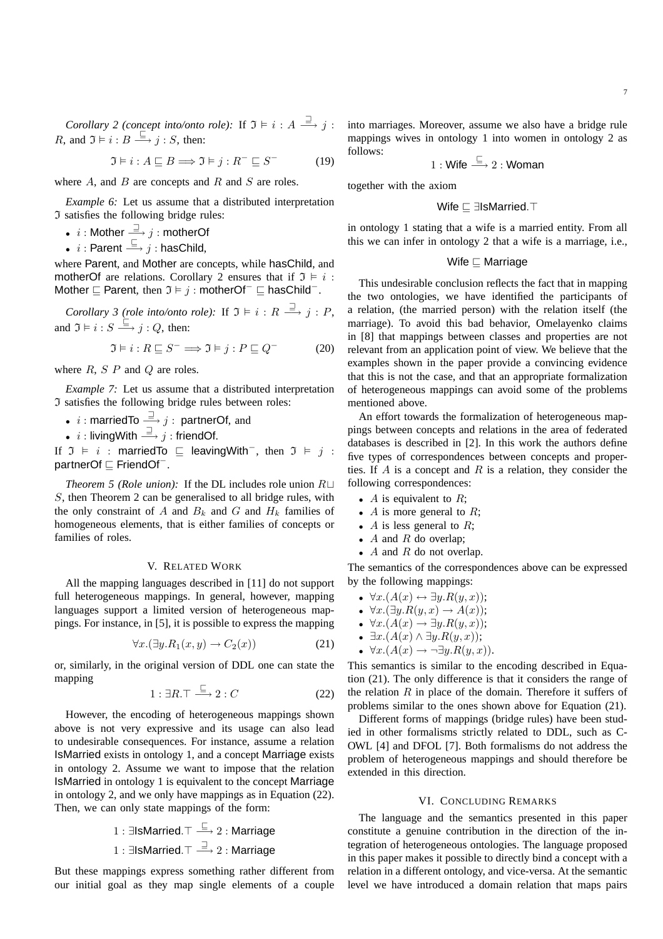*Corollary 2 (concept into/onto role):* If  $\mathfrak{I} \models i : A \stackrel{\sqsupset}{\longrightarrow} j$ : *R*, and  $\mathfrak{I} \models i : B \stackrel{\sqsubseteq}{\longrightarrow} j : S$ , then:

$$
\Im \models i : A \sqsubseteq B \Longrightarrow \Im \models j : R^- \sqsubseteq S^- \tag{19}
$$

where  $A$ , and  $B$  are concepts and  $R$  and  $S$  are roles.

*Example 6:* Let us assume that a distributed interpretation I satisfies the following bridge rules:

- $\begin{split} \begin{array}{c} \bullet \;\; i:\mathsf{Mother} \stackrel{\sqsupset}{\longrightarrow} j:\mathsf{motherOf} \end{array} \end{split}$
- $i:$  Parent  $\xrightarrow{\sqsubseteq} j:$  hasChild,

where Parent, and Mother are concepts, while hasChild, and motherOf are relations. Corollary 2 ensures that if  $\mathfrak{I} \models i$ : Mother  $\sqsubseteq$  Parent, then  $\mathfrak{I} \models j$  : motherOf<sup>-</sup>  $\sqsubseteq$  hasChild<sup>-</sup>.

*Corollary 3 (role into/onto role):* If  $\mathfrak{I} \models i : R \stackrel{\supset}{\longrightarrow} j : P$ , and  $\mathfrak{I} \models i : S \stackrel{\sqsubseteq}{\longrightarrow} j : Q$ , then:

$$
\mathfrak{I} \models i : R \sqsubseteq S^- \Longrightarrow \mathfrak{I} \models j : P \sqsubseteq Q^- \tag{20}
$$

where  $R$ ,  $S$   $P$  and  $Q$  are roles.

*Example 7:* Let us assume that a distributed interpretation I satisfies the following bridge rules between roles:

•  $i$ : marriedTo  $\stackrel{\supset}{\longrightarrow} j$ : partnerOf, and

 $\begin{array}{r} \bullet \;\; i: \mathsf{livingWith} \stackrel{\sqsupset}{\longrightarrow} j: \mathsf{friendOf}. \end{array}$ 

If  $\mathfrak{I} \models i$ : marriedTo  $\sqsubseteq$  leavingWith<sup>-</sup>, then  $\mathfrak{I} \models j$ : partnerOf ⊑ FriendOf<sup>−</sup> .

*Theorem 5 (Role union):* If the DL includes role union R⊔ S, then Theorem 2 can be generalised to all bridge rules, with the only constraint of A and  $B_k$  and G and  $H_k$  families of homogeneous elements, that is either families of concepts or families of roles.

## V. RELATED WORK

All the mapping languages described in [11] do not support full heterogeneous mappings. In general, however, mapping languages support a limited version of heterogeneous mappings. For instance, in [5], it is possible to express the mapping

$$
\forall x. (\exists y. R_1(x, y) \to C_2(x)) \tag{21}
$$

or, similarly, in the original version of DDL one can state the mapping

$$
1: \exists R. \top \stackrel{\sqsubseteq}{\longrightarrow} 2: C \tag{22}
$$

However, the encoding of heterogeneous mappings shown above is not very expressive and its usage can also lead to undesirable consequences. For instance, assume a relation IsMarried exists in ontology 1, and a concept Marriage exists in ontology 2. Assume we want to impose that the relation IsMarried in ontology 1 is equivalent to the concept Marriage in ontology 2, and we only have mappings as in Equation (22). Then, we can only state mappings of the form:

1: 
$$
\exists
$$
lsMarried.  $\top \stackrel{\sqsubseteq}{\Longrightarrow}$  2: **Marriage**

\n1:  $\exists$ lsMarried.  $\top \stackrel{\sqsupset}{\Longrightarrow}$  2: **Marriage**

But these mappings express something rather different from our initial goal as they map single elements of a couple

into marriages. Moreover, assume we also have a bridge rule mappings wives in ontology 1 into women in ontology 2 as follows:

$$
1:\mathsf{Wife} \stackrel{\sqsubseteq}{\longrightarrow} 2:\mathsf{Woman}
$$

together with the axiom

$$
\mathsf{Wife} \sqsubseteq \exists \mathsf{IsMarried}.\top
$$

in ontology 1 stating that a wife is a married entity. From all this we can infer in ontology 2 that a wife is a marriage, i.e.,

# Wife ⊑ Marriage

This undesirable conclusion reflects the fact that in mapping the two ontologies, we have identified the participants of a relation, (the married person) with the relation itself (the marriage). To avoid this bad behavior, Omelayenko claims in [8] that mappings between classes and properties are not relevant from an application point of view. We believe that the examples shown in the paper provide a convincing evidence that this is not the case, and that an appropriate formalization of heterogeneous mappings can avoid some of the problems mentioned above.

An effort towards the formalization of heterogeneous mappings between concepts and relations in the area of federated databases is described in [2]. In this work the authors define five types of correspondences between concepts and properties. If  $A$  is a concept and  $R$  is a relation, they consider the following correspondences:

- $A$  is equivalent to  $R$ ;
- A is more general to  $R$ ;
- A is less general to  $R$ ;
- $A$  and  $R$  do overlap;
- $A$  and  $R$  do not overlap.

The semantics of the correspondences above can be expressed by the following mappings:

- $\forall x. (A(x) \leftrightarrow \exists y. R(y,x));$
- $\forall x. (\exists y. R(y,x) \rightarrow A(x));$
- $\forall x. (A(x) \rightarrow \exists y. R(y,x));$
- $\exists x.(A(x) \land \exists y.R(y,x));$
- $\forall x. (A(x) \rightarrow \neg \exists y. R(y,x)).$

This semantics is similar to the encoding described in Equation (21). The only difference is that it considers the range of the relation  $R$  in place of the domain. Therefore it suffers of problems similar to the ones shown above for Equation (21).

Different forms of mappings (bridge rules) have been studied in other formalisms strictly related to DDL, such as C-OWL [4] and DFOL [7]. Both formalisms do not address the problem of heterogeneous mappings and should therefore be extended in this direction.

#### VI. CONCLUDING REMARKS

The language and the semantics presented in this paper constitute a genuine contribution in the direction of the integration of heterogeneous ontologies. The language proposed in this paper makes it possible to directly bind a concept with a relation in a different ontology, and vice-versa. At the semantic level we have introduced a domain relation that maps pairs